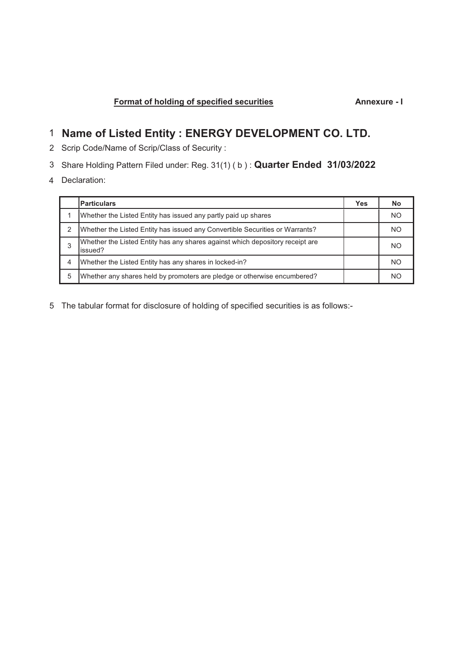## 1 **Name of Listed Entity : ENERGY DEVELOPMENT CO. LTD.**

- 2 Scrip Code/Name of Scrip/Class of Security :
- 3 Share Holding Pattern Filed under: Reg. 31(1) ( b ) : **Quarter Ended 31/03/2022**
- 4 Declaration:

|   | <b>Particulars</b>                                                                       | Yes | No  |
|---|------------------------------------------------------------------------------------------|-----|-----|
|   | Whether the Listed Entity has issued any partly paid up shares                           |     | ΝC  |
| 2 | Whether the Listed Entity has issued any Convertible Securities or Warrants?             |     | ΝO  |
| 3 | Whether the Listed Entity has any shares against which depository receipt are<br>issued? |     | NC. |
| 4 | Whether the Listed Entity has any shares in locked-in?                                   |     | NΩ  |
| 5 | Whether any shares held by promoters are pledge or otherwise encumbered?                 |     | NC  |

5 The tabular format for disclosure of holding of specified securities is as follows:-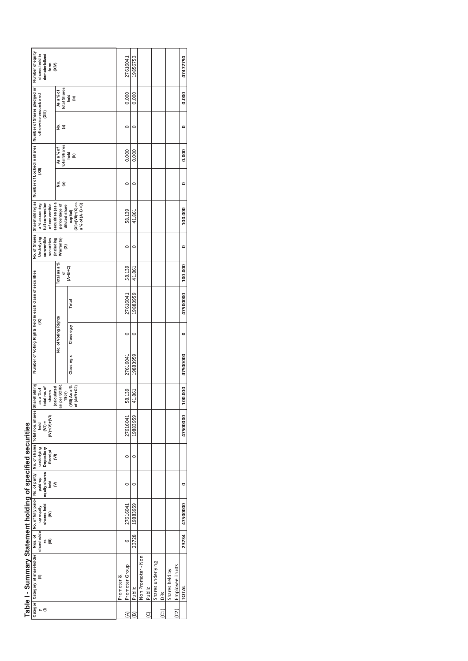| Number of equity<br>shares held in<br>dematerialized<br>form<br>(XIV)                                                                         |                                                    |                                                           |            | 27616041       | 19856753      |                    |                         |                   |     |                |                 | 47472794 |
|-----------------------------------------------------------------------------------------------------------------------------------------------|----------------------------------------------------|-----------------------------------------------------------|------------|----------------|---------------|--------------------|-------------------------|-------------------|-----|----------------|-----------------|----------|
| otherwise encumbered<br>(XIII)                                                                                                                | total Shares<br>As a % of                          | held<br>ê                                                 |            | 0.000          | 0.000         |                    |                         |                   |     |                |                 | 0.000    |
|                                                                                                                                               | ş<br>$\widehat{a}$                                 |                                                           |            | $\circ$        | $\circ$       |                    |                         |                   |     |                |                 | 0        |
|                                                                                                                                               | total Shares<br>As a % of                          | held<br>ê                                                 |            | 0.000          | 0.000         |                    |                         |                   |     |                |                 | 0.000    |
| ξ                                                                                                                                             | ş<br>a)                                            |                                                           |            | $\circ$        | $\circ$       |                    |                         |                   |     |                |                 | 0        |
| No. of Shares Shareholding as   Number of Locked in shares   Number of Shares pledged or<br>full conversion<br>of convertible<br>a % assuming | securities (as a<br>percentage of<br>diluted share | $(X)$ = $(V  V)$ + $(X)$ as<br>a % of (A+B+C)<br>capital) |            | 58.139         | 41.861        |                    |                         |                   |     |                |                 | 100.000  |
| convertible<br>Underlying<br>(Including<br>securities                                                                                         | Warrants)<br>g                                     |                                                           |            | $\circ$        | $\circ$       |                    |                         |                   |     |                |                 | 0        |
|                                                                                                                                               | Total as a %<br>đ                                  | $(A+BA)$                                                  |            | 58.139         | 41.861        |                    |                         |                   |     |                |                 | 100.000  |
| Number of Voting Rights held in each class of securities                                                                                      |                                                    | Total                                                     |            | 27616041       | 19883959      |                    |                         |                   |     |                |                 | 47500000 |
| $\widetilde{\mathbf{g}}$                                                                                                                      | No. of Voting Rights                               | Class eg:y                                                |            | $\circ$        | $\circ$       |                    |                         |                   |     |                |                 | 0        |
|                                                                                                                                               |                                                    | Class eg:x                                                |            | 27616041       | 19883959      |                    |                         |                   |     |                |                 | 47500000 |
| (calculated<br>total no. of<br>asa% of<br>shares                                                                                              | as per SCRR,<br>1957)                              | (VIII) As a %<br>of (A+B+C2)                              |            | 58.139         | 41.861        |                    |                         |                   |     |                |                 | 100.000  |
| Nos. of No. of fully paid- No. of partly No. of shares Total nos. shares Shareholding<br>$(M) + (N) + (N)$<br>held                            |                                                    |                                                           |            | 27616041       | 19883959      |                    |                         |                   |     |                |                 | 47500000 |
| underlying<br>Receipt                                                                                                                         | $\widehat{\epsilon}$                               |                                                           |            | $\circ$        | $\circ$       |                    |                         |                   |     |                |                 |          |
| equity shares Depository<br>paid-up<br>held<br>ε                                                                                              |                                                    |                                                           |            | $\circ$        | $\circ$       |                    |                         |                   |     |                |                 | 0        |
| shares held<br>up equity<br>$\tilde{\epsilon}$                                                                                                |                                                    |                                                           |            | 27616041       | 19883959      |                    |                         |                   |     |                |                 | 47500000 |
| shareholde<br>ະ≘                                                                                                                              |                                                    |                                                           |            | $\circ$        | 23728         |                    |                         |                   |     |                |                 | 23734    |
| Categor Category of shareholder<br>€                                                                                                          |                                                    |                                                           | Promoter & | Promoter Group | Public        | Non Promoter - Non | Public                  | Shares underlying | DRS | Shares held by | Employee Trusts | TOTAL    |
| ≻∈                                                                                                                                            |                                                    |                                                           |            | ₹              | $\widehat{B}$ |                    | $\overline{\mathbb{C}}$ |                   | G   |                | (2)             |          |

**Table I - Summary Statement holding of specified securities**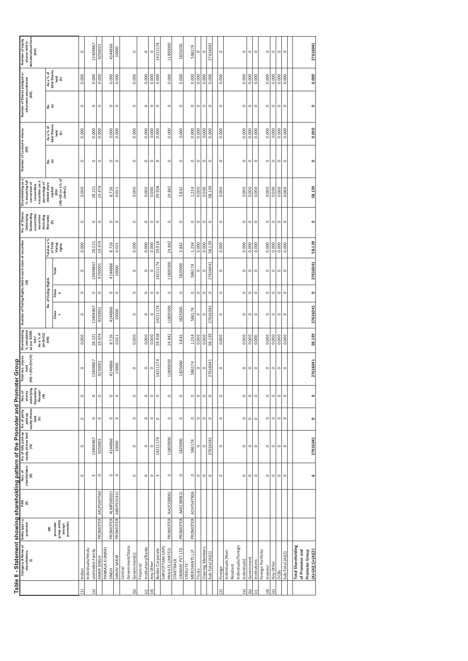|                                                                                      | dematerialized form<br>Number of equity<br>shares held in<br>(XN)                                         |                             |                                                                          | $\circ$ | 13404867                              | 9250001    | 4144866                 | 10000        | $\circ$                                      | $\circ$                         | $\circ$   | 14211174                | 11800000                          | 1825000                            | 586174                    | $\circ$ | $\circ$                 | 27616041         | $\circ$ |                   | $\circ$                                         | $\circ$    | $\circ$      | $\circ$                       | $\circ$   | $\circ$ | $\circ$          |                           |                 | 27616041                              |
|--------------------------------------------------------------------------------------|-----------------------------------------------------------------------------------------------------------|-----------------------------|--------------------------------------------------------------------------|---------|---------------------------------------|------------|-------------------------|--------------|----------------------------------------------|---------------------------------|-----------|-------------------------|-----------------------------------|------------------------------------|---------------------------|---------|-------------------------|------------------|---------|-------------------|-------------------------------------------------|------------|--------------|-------------------------------|-----------|---------|------------------|---------------------------|-----------------|---------------------------------------|
|                                                                                      |                                                                                                           |                             | As a % of<br>total Shares<br>held<br>(b)                                 | 0.000   | 0.000                                 | 0.000      | 0.000                   | 0.000        | 0.000                                        | 0.000                           | 0.000     | 0.000                   | 0.000                             | 0.000                              | 0.000                     | 0.000   | 0.000                   | 0.000            | 0.000   |                   | 0.000                                           | 0.000      | 0.000        | 0.000                         | 0.000     | 0.000   | 0.000            |                           |                 | 0.000                                 |
|                                                                                      | Number of Shares pledged or<br>otherwise encumbered<br>(xii)                                              | $\frac{6}{6}$ $\widehat{a}$ |                                                                          | $\circ$ | $\circ$                               | $\circ$    | $\circ$                 | $\circ$      | $\circ$                                      | $\circ$                         | $\circ$   | $\circ$                 | $\circ$                           | $\circ$                            | $\circ$                   | $\circ$ | $\circ$                 | $\circ$          | $\circ$ |                   | $\circ$                                         | $\circ$    | $\circ$      | $\circ$                       | $\circ$   | $\circ$ | $\circ$          |                           |                 | $\circ$                               |
|                                                                                      |                                                                                                           |                             | As a % of<br>total Shares<br>held<br>(b)                                 | 0.000   | 0.000                                 | 0.000      | 0.000                   | 0.000        | 0.000                                        | 0.000                           | 0.000     | 0.000                   | 0.000                             | 0.000                              | 0.000                     | 0.000   | 0.000                   | 0.000            | 0.000   |                   | 0.000                                           | 0.000      | 0.000        | 0.000                         | 0.000     | 0.000   | 0.000            |                           |                 | 0.000                                 |
|                                                                                      | Number of Locked in shares<br>ξ                                                                           | e a                         |                                                                          | $\circ$ | $\circ$                               | $\circ$    | $\circ$                 | $\circ$      | $\circ$                                      | $\circ$                         | $\circ$   | $\circ$                 | $\circ$                           | $\circ$                            | $\circ$                   | $\circ$ | $\circ$                 | $\circ$          | $\circ$ |                   | $\circ$                                         | $\circ$    | $\circ$      | $\circ$                       | $\circ$   | $\circ$ | $\circ$          |                           |                 | $\circ$                               |
|                                                                                      | Shareholding as a<br>% assuming full<br>securities (as a<br>percentage of<br>conversion of<br>convertible | diluted share<br>capital)   | $(XI)=\begin{cases} (2+6I) + (10I) & (3+6I) \ (2+6I) & (2I) \end{cases}$ | 0.000   | 28.221                                | 19.474     | 8.726                   | 0.021        | 0.000                                        | 0.000                           | 0.000     | 29.918                  | 24.842                            | 3.842                              | 1.234                     | 0.000   | 0.000                   | 58.139           | 0.000   |                   | 0.000                                           | 0.000      | 0.000        | 0.000                         | 0.000     | 0.000   | 0.000            |                           |                 | 58.139                                |
|                                                                                      | No. of Shares<br>Underlying<br>Outstanding<br>convertible<br>securities<br>(Including                     | <b>Warrants</b><br>8        |                                                                          | $\circ$ | $\circ$                               | $\circ$    | $\circ$                 | $\circ$      | $\circ$                                      | $\circ$                         | $\circ$   | $\circ$                 | $\circ$                           | $\circ$                            | $\circ$                   | $\circ$ | $\circ$                 | $\circ$          | $\circ$ |                   | $\circ$                                         | $\circ$    | $\circ$      | $\circ$                       | $\circ$   | $\circ$ | $\circ$          |                           |                 | $\circ$                               |
|                                                                                      |                                                                                                           | Total as a %                | of Total<br>Voting<br>rights                                             | 0.000   | 28.221                                | 19.474     | 8.726                   | 0.021        | 0.000                                        | 0.000                           | 0.000     | 29.918                  | 24.842                            | 3.842                              | 1.234                     | 0.000   | 0.000                   | 58.139           | 0.000   |                   | 0.000                                           | 0.000      | 0.000        | 0.000                         | 0.000     | 0.000   | 0.000            |                           |                 | 58.139                                |
|                                                                                      | Number of Voting Rights held in each class of securities<br>$\widetilde{\mathsf{g}}$                      |                             | Total                                                                    | $\circ$ | 13404867                              | 9250001    | 4144866                 | 10000        | $\circ$                                      | $\circ$                         | $\circ$   | 14211174                | 11800000                          | 1825000                            | 586174                    | $\circ$ | $\circ$                 | 27616041         | $\circ$ |                   | $\circ$                                         | $\circ$    | $\circ$      | $\circ$                       | $\circ$   | $\circ$ | $\circ$          |                           |                 | 27616041                              |
|                                                                                      |                                                                                                           | No. of Voting Rights        | Class<br>$\overline{\phantom{a}}$                                        | $\circ$ | $\circ$                               | $\circ$    | $\circ$                 | $\circ$      | $\circ$                                      | $\circ$                         | $\circ$   | $\circ$                 | $\circ$                           | $\circ$                            | $\circ$                   | $\circ$ | $\circ$                 | $\circ$          | $\circ$ |                   | $\circ$                                         | $\circ$    | $\circ$      | $\circ$                       | $\circ$   | $\circ$ | $\circ$          |                           |                 | $\circ$                               |
|                                                                                      |                                                                                                           |                             | Class<br>x                                                               | $\circ$ | 13404867                              | 9250001    | 4144866                 | 10000        | $\circ$                                      | $\circ$                         | c         | 14211174                | 11800000                          | 1825000                            | 586174                    | $\circ$ | $\circ$                 | 27616041         | $\circ$ |                   | $\circ$                                         | $\circ$    | $\circ$      | $\circ$                       | $\circ$   | $\circ$ | $\circ$          |                           |                 | 27616041                              |
|                                                                                      | Shareholding<br>as per SCRR,<br>% calculated<br>As a % of<br>(A+B+C2)<br>(MII)<br>1957                    |                             |                                                                          | 0.000   | 28.221                                | 19.474     | 8.726                   | 0.021        | 0.000                                        | 0.000                           | 0.000     | 29.918                  | 24.842                            | 3.842                              | 1.234                     | 0.000   | 0.000                   | 58.139           | 0.000   |                   | 0.000                                           | 0.000      | 0.000        | 0.000                         | 0.000     | 0.000   | 0.000            |                           |                 | 58.139                                |
|                                                                                      | Total nos. shares<br>$(M+(M+M)) = (N)$<br>held                                                            |                             |                                                                          | $\circ$ | 13404867                              | 9250001    | 4144866                 | 10000        | $\circ$                                      | $\circ$                         | $\circ$   | 14211174                | 11800000                          | 1825000                            | 586174                    | $\circ$ | $\circ$                 | 27616041         | $\circ$ |                   | $\circ$                                         | $\circ$    | $\circ$      | $\circ$                       | $\circ$   | $\circ$ | $\circ$          |                           |                 | 27616041                              |
|                                                                                      | underlying<br>Depository<br>Nos. of<br>shares<br>Receipt<br>(VI)                                          |                             |                                                                          | $\circ$ | $\circ$                               | $\circ$    | $\circ$                 | $\circ$      | $\circ$                                      | $\circ$                         | $\circ$   | $\circ$                 | $\circ$                           | $\circ$                            | $\circ$                   | $\circ$ | $\circ$                 | $\circ$          | $\circ$ |                   | $\circ$                                         | $\circ$    | $\circ$      | $\circ$                       | $\circ$   | $\circ$ | $\circ$          |                           |                 | $\circ$                               |
|                                                                                      | equity shares<br>No. of partly<br>paid-up<br>held<br>ε                                                    |                             |                                                                          | $\circ$ | $\circ$                               | $\circ$    | $\circ$                 | $\circ$      | $\circ$                                      | $\circ$                         | $\circ$   | $\circ$                 | $\circ$                           | $\circ$                            | $\circ$                   | $\circ$ | $\circ$                 | $\circ$          | $\circ$ |                   | $\circ$                                         | $\circ$    | $\circ$      | $\circ$                       | $\circ$   | $\circ$ | $\circ$          |                           |                 | $\circ$                               |
|                                                                                      | No. of fully paid-up<br>equity shares held<br>ξ                                                           |                             |                                                                          | $\circ$ | 13404867                              | 9250001    | 4144866                 | 10000        | $\circ$                                      | $\circ$                         | $\circ$   | 14211174                | 11800000                          | 1825000                            | 586174                    | $\circ$ | $\circ$                 | 27616041         | $\circ$ |                   | $\circ$                                         | $\circ$    | $\circ$      | $\circ$                       | $\circ$   | $\circ$ | $\circ$          |                           |                 | 27616041                              |
|                                                                                      | shareholders<br>Nos. of<br>ί                                                                              |                             |                                                                          | $\circ$ | $\infty$                              | $\circ$    | $\circ$                 | $\circ$      | $\circ$                                      | $\circ$                         | $\circ$   | 3                       | $\circ$                           | $\circ$                            | $\circ$                   | $\circ$ | $\circ$                 | $\circ$          | $\circ$ |                   | $\circ$                                         | $\circ$    | $\circ$      | $\circ$                       | $\circ$   | $\circ$ | $\circ$          |                           |                 | $\circ$                               |
|                                                                                      | <b>A</b> E                                                                                                |                             |                                                                          |         |                                       | AKLPS6975M | ALMPS8920J              | ABDPS3141C   |                                              |                                 |           |                         | AADCS8806J                        | AAECS8982J                         | ACHFS4790A                |         |                         |                  |         |                   |                                                 |            |              |                               |           |         |                  |                           |                 |                                       |
|                                                                                      | Entity type i.e<br>promoter                                                                               | õ                           | group entity<br>(except<br>promoter)<br>promoter                         |         |                                       | PROMOTER   | PROMOTER                | PROMOTER     |                                              |                                 |           |                         | PROMOTER                          | PROMOTER                           | PROMOTER                  |         |                         |                  |         |                   |                                                 |            |              |                               |           |         |                  |                           |                 |                                       |
| Table II - Statement showing shareholding pattern of the Promoter and Promoter Group | Category & Name of<br>shareholders<br>Ξ                                                                   |                             |                                                                          | Indian  | Individuals/Hindu<br>undivided Family | AMAR SINGH | PANKAJA KUMARI<br>SINGH | SANJIV SARAF | Government/State<br>Government(s)<br>Central | Institutions/Banks<br>Financial | Any Other | <b>Bodies Corporate</b> | SARVOTTAM CAPS<br>PRIVATE LIMITED | VINIMAY PVTLTD<br><b>STARTRACK</b> | MERCHANTS LLP<br>STERLITE | Trusts  | <b>Clearing Members</b> | Sub-Total (A)(1) | Foreign | Individuals (Non- | Individuals/Foreign<br>Individuals)<br>Resident | Government | Institutions | Foreign Portfolio<br>Investor | Any Other | ОCBS    | Sub-Total (A)(2) | <b>Total Shareholding</b> | of Promoter and | Promoter Group<br>$(A)=(A)(1)+(A)(2)$ |
|                                                                                      |                                                                                                           |                             |                                                                          |         | $\widehat{a}$                         |            |                         |              | Ξ                                            | $\widehat{\omega}$              | €         |                         |                                   |                                    |                           |         |                         |                  | ତ       |                   | a                                               | Ξ          | Θ            | $\widehat{\Xi}$               | ⊙         |         |                  |                           |                 |                                       |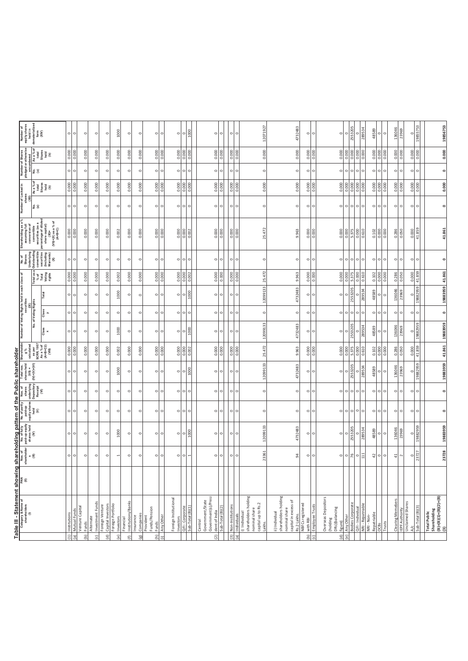|                                    | Table III - Statement show i<br>  Category & Name of PAN<br>  Shareholders (!)<br>  (!) |                                                                                                                                                                                                                                         |                     |                                 |                         |                               |                                                                 | Number of Voting Rights held in each class of<br>securities                               | $\tilde{\mathbf{z}}$            |                               |                                                                             |                                                                                                                                 |                                                                                                                                                                                                  | Number of Locked in<br>shares<br>(XII) |                                                                  |                                 |                                                                                                                  |                                                                         |
|------------------------------------|-----------------------------------------------------------------------------------------|-----------------------------------------------------------------------------------------------------------------------------------------------------------------------------------------------------------------------------------------|---------------------|---------------------------------|-------------------------|-------------------------------|-----------------------------------------------------------------|-------------------------------------------------------------------------------------------|---------------------------------|-------------------------------|-----------------------------------------------------------------------------|---------------------------------------------------------------------------------------------------------------------------------|--------------------------------------------------------------------------------------------------------------------------------------------------------------------------------------------------|----------------------------------------|------------------------------------------------------------------|---------------------------------|------------------------------------------------------------------------------------------------------------------|-------------------------------------------------------------------------|
|                                    |                                                                                         | <b>ing shareholding pattern of the Public shareholder</b><br>and a straight property property and the straight and the straight straight and the straight of the straight of<br>animals and straight property property and the straight |                     |                                 |                         |                               |                                                                 |                                                                                           | No. of Voting Rights            |                               |                                                                             |                                                                                                                                 |                                                                                                                                                                                                  | şε                                     | Asa% of<br>total<br>Shares<br>held<br>(b)                        |                                 | Number of Shares<br>pledged or otherwise<br>encumbered<br>No. As a<br>Asa % of<br>total<br>Shares<br>held<br>(b) | Number of<br>equity shares<br>held in<br>dematerialized<br>form<br>form |
|                                    |                                                                                         |                                                                                                                                                                                                                                         |                     |                                 |                         |                               |                                                                 | Class<br>x                                                                                | Class<br>y                      | Total                         | Total as a<br>% of<br>Total<br>Voting<br>rights                             | No. of<br>Shares<br>Underlying<br>Outstanding<br>Constanting<br>seconding<br>seconding<br>(Noticuding<br>Warrants)<br>Warrants) | $\begin{tabular}{ c c } \hline Sharabnding as a $\ast$ \ensuremath{\circ}$ \\ \hline assumption & full \\ \hline assumption \\ \hline computation \\ \hline computation \\ \hline \end{tabular}$ |                                        |                                                                  |                                 |                                                                                                                  |                                                                         |
| $\overline{a}$<br>$\Xi$            | Mutual Funds<br>Institutions                                                            | $\circ$<br>$\circ$                                                                                                                                                                                                                      | $\circ$<br>$\circ$  | $\circ$<br>$\circ$              | $\circ$<br>$\circ$      | $\circ$<br>$\circ$            | 0.000<br>0.000                                                  | $\circ$<br>$\circ$                                                                        | $\circ$                         | $\circ$<br>$\circ$            | 0.000                                                                       | $\circ$<br>$\circ$                                                                                                              | 0.000<br>$rac{0}{2}$                                                                                                                                                                             | $\circ$<br>$\circ$                     | 0.000                                                            | $\circ$<br>$\circ$              | 0.000<br>0.000                                                                                                   | $\circ$<br>$\circ$                                                      |
| <b>a</b>                           | Venture Capital<br>Funds                                                                | $\circ$                                                                                                                                                                                                                                 | $\circ$             | $\circ$                         | $\circ$                 | $\circ$                       | 0.000                                                           | $\circ$                                                                                   | $\circ$                         | $\circ$                       | 0.000                                                                       | $\circ$                                                                                                                         | 0.000                                                                                                                                                                                            | $\circ$                                | 0.000                                                            | $\circ$                         | 0.000                                                                                                            | $\circ$                                                                 |
| $\overline{c}$                     | Alternate                                                                               | $\circ$                                                                                                                                                                                                                                 | $\circ$             | $\circ$                         | $\circ$                 | $\circ$                       | 0.000                                                           | $\circ$                                                                                   | $\circ$                         | $\circ$                       | 0.000                                                                       | $\circ$                                                                                                                         | 0.000                                                                                                                                                                                            | $\circ$                                | 0.000                                                            | $\circ$                         | 0.000                                                                                                            | $\circ$                                                                 |
| $\hat{a}$                          | Investment Funds<br>Foreign Venture<br>Capital Investors                                | $\circ$                                                                                                                                                                                                                                 | $\circ$             | $\circ$                         | $\circ$                 | $\circ$                       | 0.000                                                           | $\circ$                                                                                   | $\circ$                         | $\circ$                       | 0.000                                                                       | $\circ$                                                                                                                         | 0.000                                                                                                                                                                                            | $\circ$                                | 0.000                                                            | $\circ$                         | 0.000                                                                                                            | $\circ$                                                                 |
| $\widehat{e}$                      | Foreign Portfolio<br>Investors                                                          | $\overline{\phantom{0}}$                                                                                                                                                                                                                | 1000                | $\circ$                         | $\circ$                 | 1000                          | 0.002                                                           | 1000                                                                                      | $\circ$                         | 1000                          | 0.002                                                                       | $\circ$                                                                                                                         | 0.002                                                                                                                                                                                            | $\circ$                                | 0.000                                                            | $\circ$                         | 0.000                                                                                                            | 1000                                                                    |
| $\in$                              | Institutions/Banks<br>Financial                                                         | $\circ$                                                                                                                                                                                                                                 | $\circ$             | $\circ$                         | $\circ$                 | $\circ$                       | 0.000                                                           | $\circ$                                                                                   | $\circ$                         | $\circ$                       | 0.000                                                                       | $\circ$                                                                                                                         | 0.000                                                                                                                                                                                            | $\circ$                                | 0.000                                                            | $\circ$                         | 0.000                                                                                                            | $\circ$                                                                 |
| $\overline{g}$                     | Insurance                                                                               | $\circ$                                                                                                                                                                                                                                 | $\circ$             | $\circ$                         | $\circ$                 | $\circ$                       | 0.000                                                           | $\circ$                                                                                   | $\circ$                         | $\circ$                       | 000<br>d                                                                    | $\circ$                                                                                                                         | 0.000                                                                                                                                                                                            | $\circ$                                | 0.000                                                            | $\circ$                         | 0.000                                                                                                            | $\circ$                                                                 |
| $\widehat{\epsilon}$               | Companies<br>Provident<br>Funds/Pension<br>Funds                                        | $\circ$                                                                                                                                                                                                                                 | $\circ$             | $\circ$                         | $\circ$                 | $\circ$                       | 0.000                                                           | $\circ$                                                                                   |                                 | $\circ$                       | 0.000                                                                       | $\circ$                                                                                                                         | 0.000                                                                                                                                                                                            | $\circ$                                | 0.000                                                            | $\circ$                         | 0.000                                                                                                            | $\circ$                                                                 |
| Ξ                                  | Any Othe                                                                                | $\circ$                                                                                                                                                                                                                                 | $\circ$             | $\circ$                         | $\circ$                 | $\circ$                       | 0.000                                                           | $\circ$                                                                                   | $\circ$                         | $\circ$                       | 0.000                                                                       | $\circ$                                                                                                                         | 0.000                                                                                                                                                                                            | $\circ$                                | 0.000                                                            | $\circ$                         | 0.000                                                                                                            | $\circ$                                                                 |
|                                    | Foreign Institutional<br>Investors                                                      | $\circ$ $\circ$                                                                                                                                                                                                                         | $\circ$             |                                 |                         |                               |                                                                 |                                                                                           |                                 |                               | 0.000                                                                       | $\circ$ $\circ$                                                                                                                 |                                                                                                                                                                                                  |                                        | 0.000                                                            |                                 | 0.000                                                                                                            |                                                                         |
|                                    | QFI - Corporate<br>Sub-Total (B)(1)                                                     |                                                                                                                                                                                                                                         | $\frac{1000}{1000}$ | $\circ$ $\circ$ $\circ$         | $\circ$ $\circ$ $\circ$ | $\circ$ $\circ$ $\frac{8}{5}$ | $0.000$<br>$0.002$                                              | $\circ$ $\circ$ $\frac{8}{5}$                                                             | $\circ$ $\circ$ $\circ$         | $\circ$ $\circ$ $\frac{8}{5}$ | 0.000                                                                       | $\circ$                                                                                                                         | $0.000$<br>$0.002$                                                                                                                                                                               | $\circ$ $\circ$ $\circ$                | $\frac{0.000}{0.000}$                                            | $\circ$ $\circ$ $\circ$         | 0.000                                                                                                            | $\circ$ $\circ$ $\frac{8}{9}$                                           |
|                                    | Government/State<br>Central                                                             |                                                                                                                                                                                                                                         |                     |                                 |                         |                               |                                                                 |                                                                                           |                                 |                               |                                                                             |                                                                                                                                 |                                                                                                                                                                                                  |                                        |                                                                  |                                 |                                                                                                                  |                                                                         |
| $\Omega$                           | Govemment(s)/Presi<br>dent of India<br>Sub-Total (B)(2)                                 |                                                                                                                                                                                                                                         |                     | $\circ$ $\circ$                 | $\circ$                 |                               | 0.000                                                           |                                                                                           | $\circ$ $\circ$                 |                               | $\frac{8}{100}$<br>ರ ರ                                                      | $\circ$                                                                                                                         | 0.000                                                                                                                                                                                            |                                        | 0.000                                                            | $\circ$ $\circ$                 | 0.000                                                                                                            |                                                                         |
|                                    |                                                                                         | $\circ$ $\circ$                                                                                                                                                                                                                         | $\circ$             |                                 | $\circ$                 | $\circ$                       |                                                                 | $\circ$                                                                                   |                                 | $\circ$                       |                                                                             |                                                                                                                                 | 0.000                                                                                                                                                                                            | $\circ$                                |                                                                  |                                 |                                                                                                                  | $\circ$                                                                 |
| $\widehat{\mathfrak{G}}$           | Non-Institutions                                                                        | $\circ$ $\circ$                                                                                                                                                                                                                         | $\circ$             | $\circ$                         | $\circ$                 | $\circ$                       | 0.000                                                           | $\circ$                                                                                   | $\circ$ $\circ$                 | $\circ$                       | 0.000                                                                       | $\circ$                                                                                                                         | 0.000                                                                                                                                                                                            | $\circ$                                | 0.000                                                            | $\circ$ $\circ$                 | 0.000                                                                                                            | $\circ$ $\circ$                                                         |
| ම                                  | Individuals                                                                             |                                                                                                                                                                                                                                         |                     |                                 | $\circ$                 | $\circ$                       | 0.000                                                           |                                                                                           |                                 | $\circ$                       | 0.000                                                                       | $\circ$                                                                                                                         |                                                                                                                                                                                                  |                                        | 0.000                                                            |                                 | 0.000                                                                                                            |                                                                         |
|                                    | shareholders holding<br>nominal share<br>capital up to Rs.2<br>i) Individual<br>Lakhs.  | 23361                                                                                                                                                                                                                                   | 12099133            | $\circ$                         | $\circ$                 | 12099133                      | 25.472                                                          | 12099133                                                                                  | $\circ$                         | 12099133                      | 25.472                                                                      | $\circ$                                                                                                                         | 25.472                                                                                                                                                                                           | $\circ$                                | 0.000                                                            | $\circ$                         | 0.000                                                                                                            | 12071927                                                                |
|                                    | shareholders holding<br>capital in excess of<br>nominal share<br>ii) Individual         | 54                                                                                                                                                                                                                                      | 4732483             | $\circ$                         | $\circ$                 | 1732483                       | 9.963                                                           | 4732483                                                                                   | $\circ$                         | 4732483                       | .963<br>െ                                                                   | $\circ$                                                                                                                         | 9.963                                                                                                                                                                                            | $\circ$                                | 0.000                                                            | $\circ$                         | 0.000                                                                                                            | 4732483                                                                 |
| $\boxed{\underline{\mathfrak{S}}}$ | Rs.2 Lakhs.<br>NBFCs registered<br>With RBI                                             | $\circ$                                                                                                                                                                                                                                 | $\circ$ $\circ$     | $\circ$                         | $\circ$                 | $\circ$ $\circ$               | $\frac{0.000}{0.000}$                                           | $\circ$ $\circ$                                                                           | $\circ$                         | $\circ$                       | 0.000                                                                       | $\circ$                                                                                                                         | 0.000                                                                                                                                                                                            | $\circ$ $\circ$                        | 0.000                                                            | $\circ$ $\circ$                 | $\frac{0.000}{0.000}$                                                                                            | $\circ$                                                                 |
|                                    | Overseas Depositors<br>vee Trusts<br>mploy                                              |                                                                                                                                                                                                                                         |                     |                                 | $\circ$                 |                               |                                                                 |                                                                                           |                                 | $\circ$                       |                                                                             |                                                                                                                                 |                                                                                                                                                                                                  |                                        |                                                                  |                                 |                                                                                                                  |                                                                         |
|                                    | (holding<br>DRs)(balancing                                                              |                                                                                                                                                                                                                                         |                     |                                 |                         |                               |                                                                 |                                                                                           |                                 |                               |                                                                             |                                                                                                                                 |                                                                                                                                                                                                  |                                        |                                                                  |                                 |                                                                                                                  |                                                                         |
| $(d)$<br>$(e)$                     | figure)<br>Any Other<br>Bodies Corporate<br>QFI - Individual                            | 이이워이글                                                                                                                                                                                                                                   | $\frac{1}{2}$       | $\circ$ $\circ$ $\circ$ $\circ$ | $\circ$ $\circ$ $\circ$ | $\frac{0}{2553205}$           | $\begin{array}{r} 0.000 \\ 0.000 \\ 5.375 \\ 0.000 \end{array}$ | $\begin{array}{r} 0 \\ \hline 0 \\ \hline 2553205 \\ \hline 0 \\ 0 \\ \hline \end{array}$ | $\circ$ $\circ$ $\circ$ $\circ$ | $\frac{0}{2553205}$           | $rac{1}{\frac{1}{2}} \left  \frac{1}{2} \right  \left  \frac{1}{2} \right $ | $\circ$ $\circ$                                                                                                                 | $\begin{array}{r} 0.000 \\ 0.000 \\ 5.375 \\ 0.000 \end{array}$                                                                                                                                  | $\circ \circ \circ \circ \circ$        | $\begin{array}{ l} 0.000 \\ 0.000 \\ 0.000 \\ 0.000 \end{array}$ | $\circ$ $\circ$ $\circ$ $\circ$ | $\begin{array}{ l} 0.000 \\ 0.000 \\ 0.000 \\ 0.000 \end{array}$                                                 | $\frac{1}{\frac{1}{2553205}}$                                           |
|                                    |                                                                                         |                                                                                                                                                                                                                                         |                     |                                 |                         |                               |                                                                 |                                                                                           |                                 | $\circ$                       |                                                                             | $\circ$                                                                                                                         |                                                                                                                                                                                                  |                                        |                                                                  |                                 |                                                                                                                  |                                                                         |
|                                    | NRI - Repatriable<br>NRI - Non-                                                         |                                                                                                                                                                                                                                         | 289534              |                                 | $\circ$                 | 289534                        |                                                                 |                                                                                           |                                 | 289534                        | 0.610                                                                       | $\circ$                                                                                                                         |                                                                                                                                                                                                  |                                        |                                                                  | $\circ$                         |                                                                                                                  | 289534                                                                  |
|                                    | Repatriable                                                                             | $\overline{a}$                                                                                                                                                                                                                          | 48589               | $\circ$                         | $\circ$                 | 48589                         | 0.102                                                           | 48589                                                                                     | $\circ$                         | 48589                         | 0.102                                                                       | $\circ$                                                                                                                         | 0.102                                                                                                                                                                                            | $\circ$                                | 0.000                                                            | $\circ$                         | 0.000                                                                                                            | 48589                                                                   |
|                                    | Trusts<br><b>OCBs</b>                                                                   | $\circ$                                                                                                                                                                                                                                 | $\circ$<br>∘∣       | $\circ$<br>$\circ$              | $\circ$<br>$\circ$      | $\circ$<br>$\circ$            | 0.000<br>0.000                                                  | $\circ$<br>$\circ$                                                                        | $\circ$<br>$\circ$              | $\circ$<br>$\circ$            | 0.000<br>0.000                                                              | $\circ$<br>$\circ$                                                                                                              | 0.000<br>0.000                                                                                                                                                                                   | $\circ$ $\circ$                        | 0.000<br>0.000                                                   | $\circ$                         | 0.000<br>0.000                                                                                                   | $\circ$<br>∘∣                                                           |
|                                    | Clearing Memebers<br>IEPF Authority                                                     | $\frac{11}{2}$                                                                                                                                                                                                                          | 36046               | $\circ$                         | $\circ$                 | 136046                        | 0.286                                                           | 136046                                                                                    | $\circ$                         | 136046                        | 0.286                                                                       | $\circ$                                                                                                                         | 0.286                                                                                                                                                                                            | $\circ$                                | 0.000                                                            | $\circ$                         | 0.000                                                                                                            | 136046                                                                  |
|                                    | Unclaimed Shares                                                                        |                                                                                                                                                                                                                                         |                     |                                 |                         |                               |                                                                 |                                                                                           |                                 |                               |                                                                             |                                                                                                                                 |                                                                                                                                                                                                  |                                        |                                                                  |                                 |                                                                                                                  |                                                                         |
|                                    | Sub-Total (B)(3)<br>Ąς                                                                  | 23727<br>$\circ$                                                                                                                                                                                                                        | 19882959<br>$\circ$ | $\circ$<br>$\circ$              | $\circ$<br>$\circ$      | 19882959<br>$\circ$           | 41.859<br>0.000                                                 | 9882959<br>$\circ$                                                                        | $\circ$<br>$\circ$              | 19882959<br>$\circ$           | 41.859<br>0.000                                                             | $\circ$<br>$\circ$                                                                                                              | 41.859<br>0.000                                                                                                                                                                                  | $\circ$<br>$\circ$                     | 0.000<br>0.000                                                   | $\circ$<br>$\circ$              | 0.000<br>0.000                                                                                                   | 9855753<br>$\circ$                                                      |
|                                    |                                                                                         |                                                                                                                                                                                                                                         |                     |                                 |                         |                               |                                                                 |                                                                                           |                                 |                               |                                                                             |                                                                                                                                 |                                                                                                                                                                                                  |                                        |                                                                  |                                 |                                                                                                                  |                                                                         |
|                                    | Total Public<br>Shareholding<br>(B)=(B)(1)+(B)(2)+(B)<br>(3)                            | 23728                                                                                                                                                                                                                                   | 19883959            |                                 | $\circ$                 | 19883959                      | 41.861                                                          | 19883959                                                                                  | $\circ$                         | 19883959 41.861               |                                                                             |                                                                                                                                 | 41.861                                                                                                                                                                                           | $\circ$                                | 0.000                                                            | $\circ$                         | 0.000                                                                                                            | 19856753                                                                |